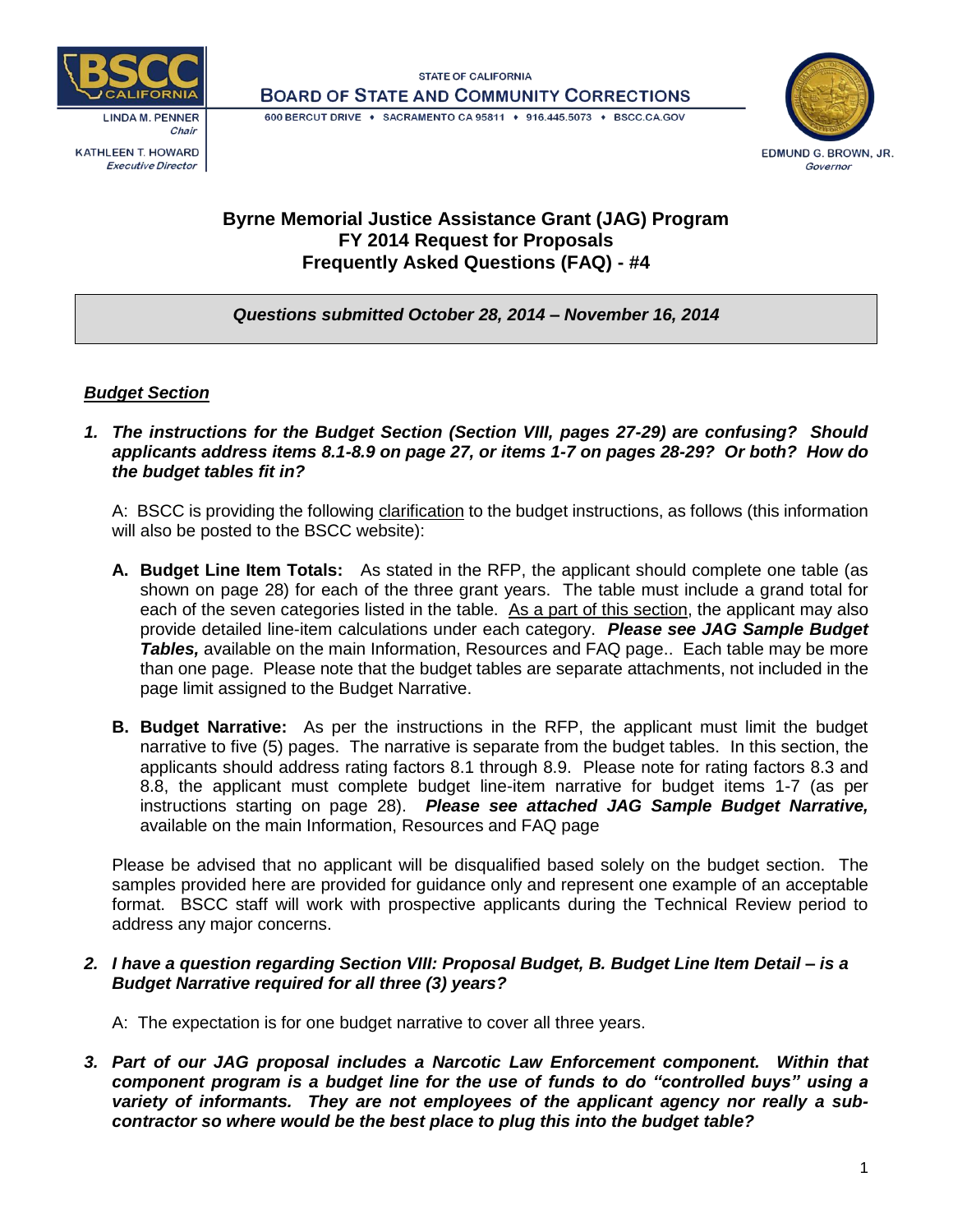

**KATHLEEN T. HOWARD Executive Director** 





#### 600 BERCUT DRIVE · SACRAMENTO CA 95811 · 916.445.5073 · BSCC.CA.GOV

# **Byrne Memorial Justice Assistance Grant (JAG) Program FY 2014 Request for Proposals Frequently Asked Questions (FAQ) - #4**

## *Questions submitted October 28, 2014 – November 16, 2014*

## *Budget Section*

*1. The instructions for the Budget Section (Section VIII, pages 27-29) are confusing? Should applicants address items 8.1-8.9 on page 27, or items 1-7 on pages 28-29? Or both? How do the budget tables fit in?*

A: BSCC is providing the following clarification to the budget instructions, as follows (this information will also be posted to the BSCC website):

- **A. Budget Line Item Totals:** As stated in the RFP, the applicant should complete one table (as shown on page 28) for each of the three grant years. The table must include a grand total for each of the seven categories listed in the table. As a part of this section, the applicant may also provide detailed line-item calculations under each category. *Please see JAG Sample Budget Tables, available on the main Information, Resources and FAQ page.. Each table may be more* than one page. Please note that the budget tables are separate attachments, not included in the page limit assigned to the Budget Narrative.
- **B. Budget Narrative:** As per the instructions in the RFP, the applicant must limit the budget narrative to five (5) pages. The narrative is separate from the budget tables. In this section, the applicants should address rating factors 8.1 through 8.9. Please note for rating factors 8.3 and 8.8, the applicant must complete budget line-item narrative for budget items 1-7 (as per instructions starting on page 28). *Please see attached JAG Sample Budget Narrative,*  available on the main Information, Resources and FAQ page

Please be advised that no applicant will be disqualified based solely on the budget section. The samples provided here are provided for guidance only and represent one example of an acceptable format. BSCC staff will work with prospective applicants during the Technical Review period to address any major concerns.

### *2. I have a question regarding Section VIII: Proposal Budget, B. Budget Line Item Detail – is a Budget Narrative required for all three (3) years?*

A: The expectation is for one budget narrative to cover all three years.

*3. Part of our JAG proposal includes a Narcotic Law Enforcement component. Within that component program is a budget line for the use of funds to do "controlled buys" using a variety of informants. They are not employees of the applicant agency nor really a subcontractor so where would be the best place to plug this into the budget table?*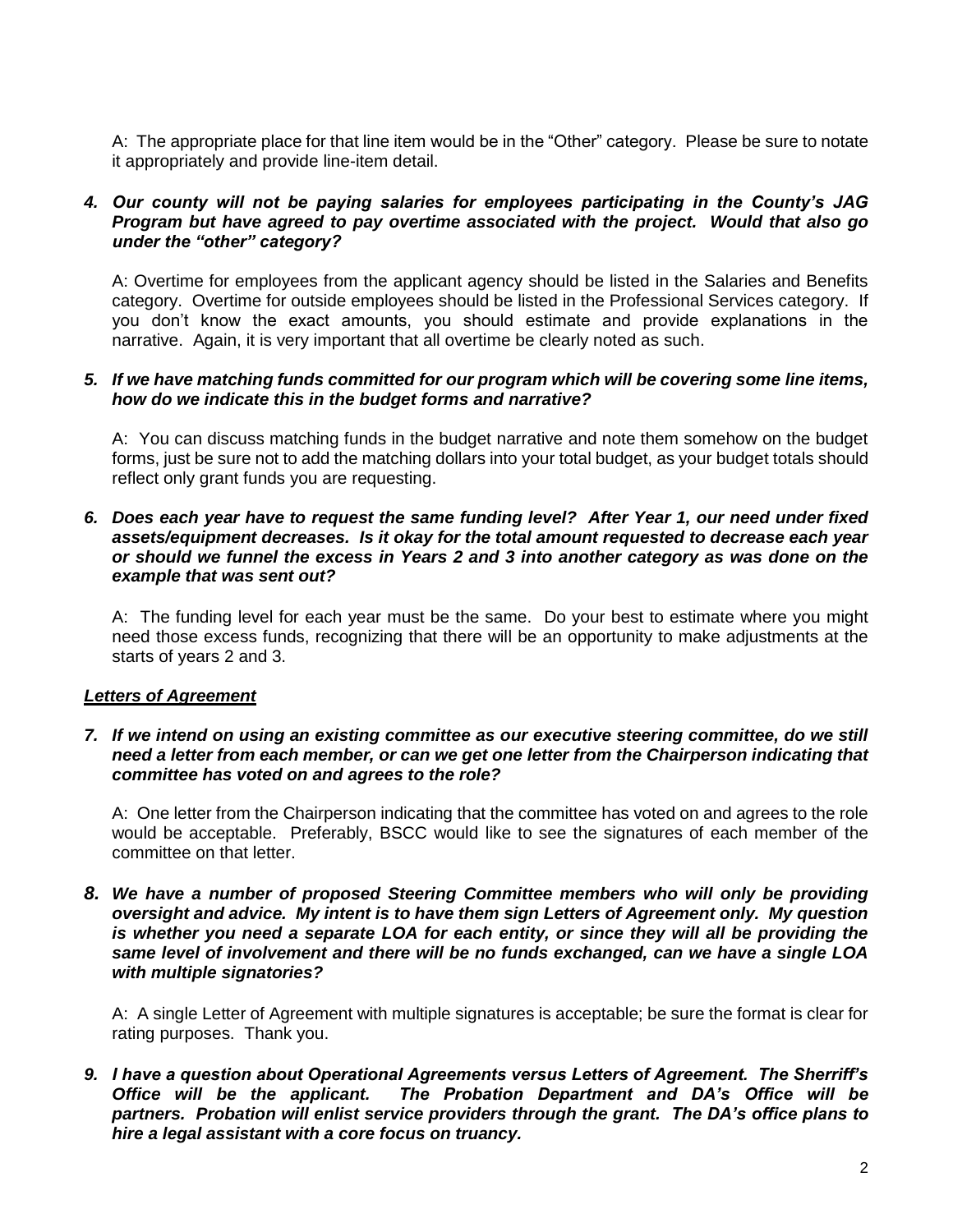A: The appropriate place for that line item would be in the "Other" category. Please be sure to notate it appropriately and provide line-item detail.

#### *4. Our county will not be paying salaries for employees participating in the County's JAG Program but have agreed to pay overtime associated with the project. Would that also go under the "other" category?*

A: Overtime for employees from the applicant agency should be listed in the Salaries and Benefits category. Overtime for outside employees should be listed in the Professional Services category. If you don't know the exact amounts, you should estimate and provide explanations in the narrative. Again, it is very important that all overtime be clearly noted as such.

### *5. If we have matching funds committed for our program which will be covering some line items, how do we indicate this in the budget forms and narrative?*

A: You can discuss matching funds in the budget narrative and note them somehow on the budget forms, just be sure not to add the matching dollars into your total budget, as your budget totals should reflect only grant funds you are requesting.

#### *6. Does each year have to request the same funding level? After Year 1, our need under fixed assets/equipment decreases. Is it okay for the total amount requested to decrease each year or should we funnel the excess in Years 2 and 3 into another category as was done on the example that was sent out?*

A: The funding level for each year must be the same. Do your best to estimate where you might need those excess funds, recognizing that there will be an opportunity to make adjustments at the starts of years 2 and 3.

## *Letters of Agreement*

#### *7. If we intend on using an existing committee as our executive steering committee, do we still need a letter from each member, or can we get one letter from the Chairperson indicating that committee has voted on and agrees to the role?*

A: One letter from the Chairperson indicating that the committee has voted on and agrees to the role would be acceptable. Preferably, BSCC would like to see the signatures of each member of the committee on that letter.

#### *8. We have a number of proposed Steering Committee members who will only be providing oversight and advice. My intent is to have them sign Letters of Agreement only. My question is whether you need a separate LOA for each entity, or since they will all be providing the same level of involvement and there will be no funds exchanged, can we have a single LOA with multiple signatories?*

A: A single Letter of Agreement with multiple signatures is acceptable; be sure the format is clear for rating purposes. Thank you.

*9. I have a question about Operational Agreements versus Letters of Agreement. The Sherriff's Office will be the applicant. The Probation Department and DA's Office will be partners. Probation will enlist service providers through the grant. The DA's office plans to hire a legal assistant with a core focus on truancy.*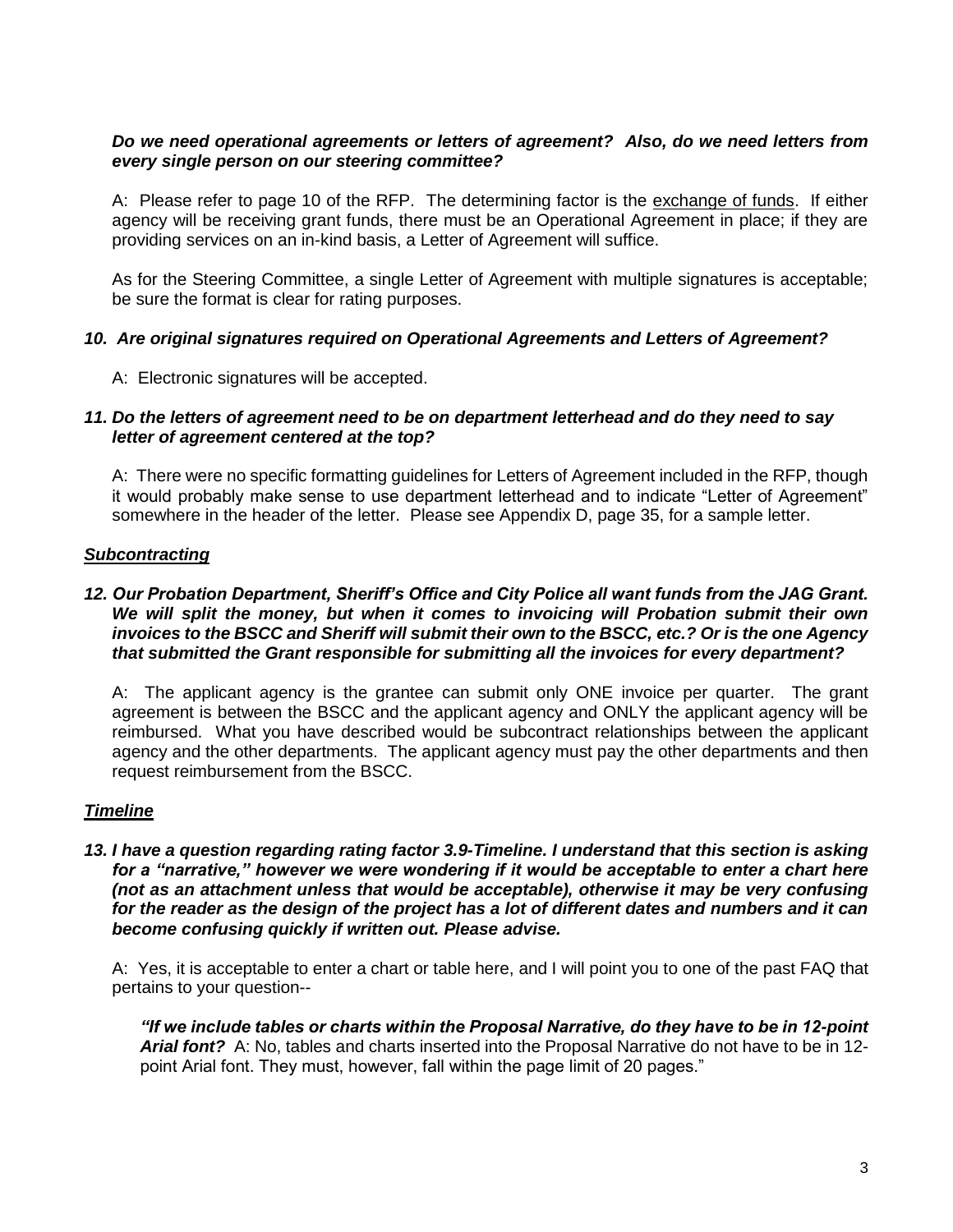### *Do we need operational agreements or letters of agreement? Also, do we need letters from every single person on our steering committee?*

A: Please refer to page 10 of the RFP. The determining factor is the exchange of funds. If either agency will be receiving grant funds, there must be an Operational Agreement in place; if they are providing services on an in-kind basis, a Letter of Agreement will suffice.

As for the Steering Committee, a single Letter of Agreement with multiple signatures is acceptable; be sure the format is clear for rating purposes.

## *10. Are original signatures required on Operational Agreements and Letters of Agreement?*

A: Electronic signatures will be accepted.

### *11. Do the letters of agreement need to be on department letterhead and do they need to say letter of agreement centered at the top?*

A: There were no specific formatting guidelines for Letters of Agreement included in the RFP, though it would probably make sense to use department letterhead and to indicate "Letter of Agreement" somewhere in the header of the letter. Please see Appendix D, page 35, for a sample letter.

### *Subcontracting*

### *12. Our Probation Department, Sheriff's Office and City Police all want funds from the JAG Grant. We will split the money, but when it comes to invoicing will Probation submit their own invoices to the BSCC and Sheriff will submit their own to the BSCC, etc.? Or is the one Agency that submitted the Grant responsible for submitting all the invoices for every department?*

A: The applicant agency is the grantee can submit only ONE invoice per quarter. The grant agreement is between the BSCC and the applicant agency and ONLY the applicant agency will be reimbursed. What you have described would be subcontract relationships between the applicant agency and the other departments. The applicant agency must pay the other departments and then request reimbursement from the BSCC.

## *Timeline*

*13. I have a question regarding rating factor 3.9-Timeline. I understand that this section is asking for a "narrative," however we were wondering if it would be acceptable to enter a chart here (not as an attachment unless that would be acceptable), otherwise it may be very confusing for the reader as the design of the project has a lot of different dates and numbers and it can become confusing quickly if written out. Please advise.*

A: Yes, it is acceptable to enter a chart or table here, and I will point you to one of the past FAQ that pertains to your question--

*"If we include tables or charts within the Proposal Narrative, do they have to be in 12-point Arial font?* A: No, tables and charts inserted into the Proposal Narrative do not have to be in 12 point Arial font. They must, however, fall within the page limit of 20 pages."